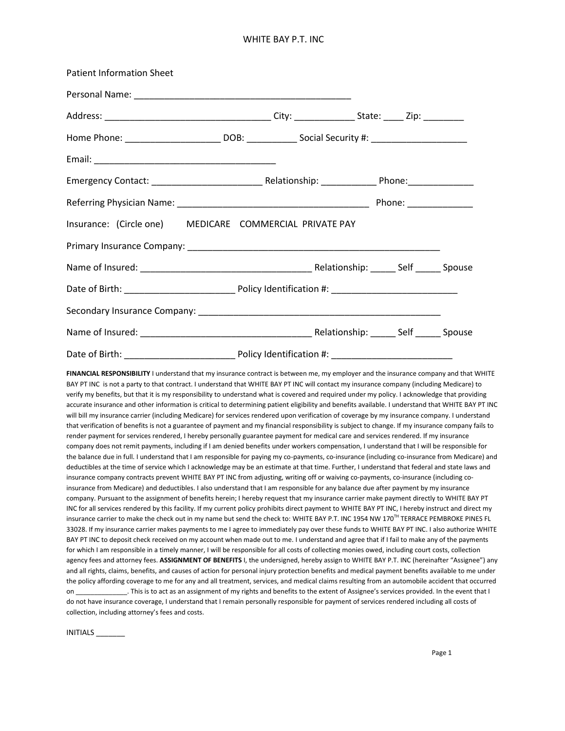### WHITE BAY P.T. INC

| <b>Patient Information Sheet</b>                                                                          |  |  |  |
|-----------------------------------------------------------------------------------------------------------|--|--|--|
|                                                                                                           |  |  |  |
|                                                                                                           |  |  |  |
| Home Phone: ______________________________DOB: ________________Social Security #: _______________________ |  |  |  |
|                                                                                                           |  |  |  |
|                                                                                                           |  |  |  |
|                                                                                                           |  |  |  |
| Insurance: (Circle one) MEDICARE COMMERCIAL PRIVATE PAY                                                   |  |  |  |
|                                                                                                           |  |  |  |
|                                                                                                           |  |  |  |
|                                                                                                           |  |  |  |
|                                                                                                           |  |  |  |
|                                                                                                           |  |  |  |
|                                                                                                           |  |  |  |

**FINANCIAL RESPONSIBILITY** I understand that my insurance contract is between me, my employer and the insurance company and that WHITE BAY PT INC is not a party to that contract. I understand that WHITE BAY PT INC will contact my insurance company (including Medicare) to verify my benefits, but that it is my responsibility to understand what is covered and required under my policy. I acknowledge that providing accurate insurance and other information is critical to determining patient eligibility and benefits available. I understand that WHITE BAY PT INC will bill my insurance carrier (including Medicare) for services rendered upon verification of coverage by my insurance company. I understand that verification of benefits is not a guarantee of payment and my financial responsibility is subject to change. If my insurance company fails to render payment for services rendered, I hereby personally guarantee payment for medical care and services rendered. If my insurance company does not remit payments, including if I am denied benefits under workers compensation, I understand that I will be responsible for the balance due in full. I understand that I am responsible for paying my co-payments, co-insurance (including co-insurance from Medicare) and deductibles at the time of service which I acknowledge may be an estimate at that time. Further, I understand that federal and state laws and insurance company contracts prevent WHITE BAY PT INC from adjusting, writing off or waiving co-payments, co-insurance (including coinsurance from Medicare) and deductibles. I also understand that I am responsible for any balance due after payment by my insurance company. Pursuant to the assignment of benefits herein; I hereby request that my insurance carrier make payment directly to WHITE BAY PT INC for all services rendered by this facility. If my current policy prohibits direct payment to WHITE BAY PT INC, I hereby instruct and direct my insurance carrier to make the check out in my name but send the check to: WHITE BAY P.T. INC 1954 NW 170<sup>TH</sup> TERRACE PEMBROKE PINES FL 33028. If my insurance carrier makes payments to me I agree to immediately pay over these funds to WHITE BAY PT INC. I also authorize WHITE BAY PT INC to deposit check received on my account when made out to me. I understand and agree that if I fail to make any of the payments for which I am responsible in a timely manner, I will be responsible for all costs of collecting monies owed, including court costs, collection agency fees and attorney fees. **ASSIGNMENT OF BENEFITS** I, the undersigned, hereby assign to WHITE BAY P.T. INC (hereinafter "Assignee") any and all rights, claims, benefits, and causes of action for personal injury protection benefits and medical payment benefits available to me under the policy affording coverage to me for any and all treatment, services, and medical claims resulting from an automobile accident that occurred on This is to act as an assignment of my rights and benefits to the extent of Assignee's services provided. In the event that I do not have insurance coverage, I understand that I remain personally responsible for payment of services rendered including all costs of collection, including attorney's fees and costs.

INITIALS \_\_\_\_\_\_\_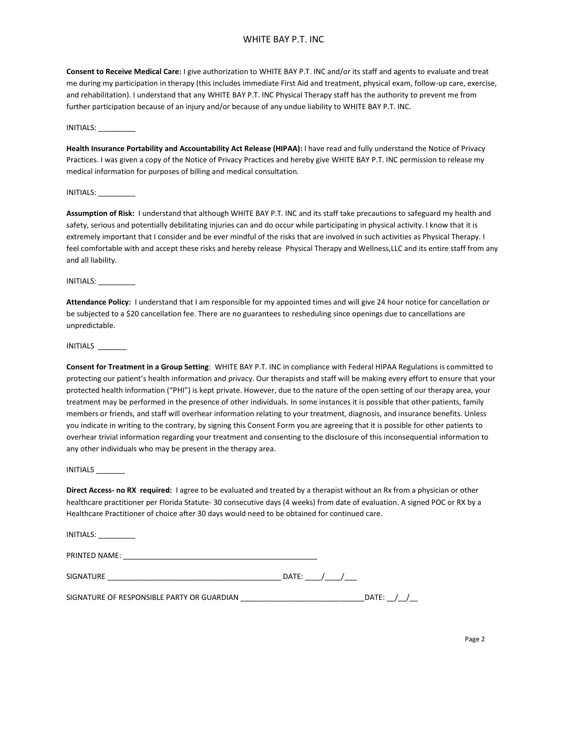### WHITE BAY P.T. INC

**Consent to Receive Medical Care:** I give authorization to WHITE BAY P.T. INC and/or its staff and agents to evaluate and treat me during my participation in therapy (this includes immediate First Aid and treatment, physical exam, follow-up care, exercise, and rehabilitation). I understand that any WHITE BAY P.T. INC Physical Therapy staff has the authority to prevent me from further participation because of an injury and/or because of any undue liability to WHITE BAY P.T. INC.

INITIALS: \_\_\_\_\_\_\_\_\_

**Health Insurance Portability and Accountability Act Release (HIPAA):** I have read and fully understand the Notice of Privacy Practices. I was given a copy of the Notice of Privacy Practices and hereby give WHITE BAY P.T. INC permission to release my medical information for purposes of billing and medical consultation.

INITIALS: \_\_\_\_\_\_\_\_\_

**Assumption of Risk:** I understand that although WHITE BAY P.T. INC and its staff take precautions to safeguard my health and safety, serious and potentially debilitating injuries can and do occur while participating in physical activity. I know that it is extremely important that I consider and be ever mindful of the risks that are involved in such activities as Physical Therapy. I feel comfortable with and accept these risks and hereby release Physical Therapy and Wellness,LLC and its entire staff from any and all liability.

INITIALS: \_\_\_\_\_\_\_\_\_

**Attendance Policy:** I understand that I am responsible for my appointed times and will give 24 hour notice for cancellation or be subjected to a \$20 cancellation fee. There are no guarantees to resheduling since openings due to cancellations are unpredictable.

INITIALS \_\_\_\_\_\_\_

**Consent for Treatment in a Group Setting**: WHITE BAY P.T. INC in compliance with Federal HIPAA Regulations is committed to protecting our patient's health information and privacy. Our therapists and staff will be making every effort to ensure that your protected health information ("PHI") is kept private. However, due to the nature of the open setting of our therapy area, your treatment may be performed in the presence of other individuals. In some instances it is possible that other patients, family members or friends, and staff will overhear information relating to your treatment, diagnosis, and insurance benefits. Unless you indicate in writing to the contrary, by signing this Consent Form you are agreeing that it is possible for other patients to overhear trivial information regarding your treatment and consenting to the disclosure of this inconsequential information to any other individuals who may be present in the therapy area.

INITIALS \_\_\_\_\_\_\_

**Direct Access- no RX required:** I agree to be evaluated and treated by a therapist without an Rx from a physician or other healthcare practitioner per Florida Statute- 30 consecutive days (4 weeks) from date of evaluation. A signed POC or RX by a Healthcare Practitioner of choice after 30 days would need to be obtained for continued care.

| INITIALS:                                  |             |  |  |  |
|--------------------------------------------|-------------|--|--|--|
| PRINTED NAME:                              |             |  |  |  |
|                                            | DATE: $/$ / |  |  |  |
| SIGNATURE OF RESPONSIBLE PARTY OR GUARDIAN |             |  |  |  |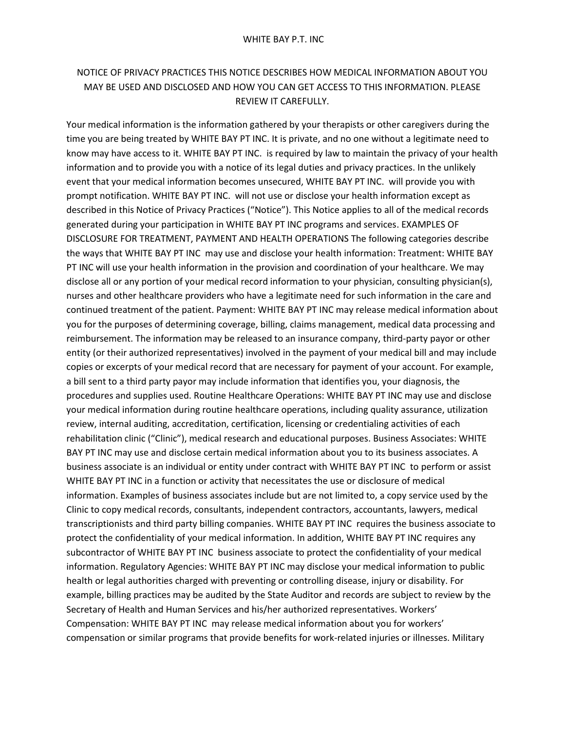# NOTICE OF PRIVACY PRACTICES THIS NOTICE DESCRIBES HOW MEDICAL INFORMATION ABOUT YOU MAY BE USED AND DISCLOSED AND HOW YOU CAN GET ACCESS TO THIS INFORMATION. PLEASE REVIEW IT CAREFULLY.

Your medical information is the information gathered by your therapists or other caregivers during the time you are being treated by WHITE BAY PT INC. It is private, and no one without a legitimate need to know may have access to it. WHITE BAY PT INC. is required by law to maintain the privacy of your health information and to provide you with a notice of its legal duties and privacy practices. In the unlikely event that your medical information becomes unsecured, WHITE BAY PT INC. will provide you with prompt notification. WHITE BAY PT INC. will not use or disclose your health information except as described in this Notice of Privacy Practices ("Notice"). This Notice applies to all of the medical records generated during your participation in WHITE BAY PT INC programs and services. EXAMPLES OF DISCLOSURE FOR TREATMENT, PAYMENT AND HEALTH OPERATIONS The following categories describe the ways that WHITE BAY PT INC may use and disclose your health information: Treatment: WHITE BAY PT INC will use your health information in the provision and coordination of your healthcare. We may disclose all or any portion of your medical record information to your physician, consulting physician(s), nurses and other healthcare providers who have a legitimate need for such information in the care and continued treatment of the patient. Payment: WHITE BAY PT INC may release medical information about you for the purposes of determining coverage, billing, claims management, medical data processing and reimbursement. The information may be released to an insurance company, third-party payor or other entity (or their authorized representatives) involved in the payment of your medical bill and may include copies or excerpts of your medical record that are necessary for payment of your account. For example, a bill sent to a third party payor may include information that identifies you, your diagnosis, the procedures and supplies used. Routine Healthcare Operations: WHITE BAY PT INC may use and disclose your medical information during routine healthcare operations, including quality assurance, utilization review, internal auditing, accreditation, certification, licensing or credentialing activities of each rehabilitation clinic ("Clinic"), medical research and educational purposes. Business Associates: WHITE BAY PT INC may use and disclose certain medical information about you to its business associates. A business associate is an individual or entity under contract with WHITE BAY PT INC to perform or assist WHITE BAY PT INC in a function or activity that necessitates the use or disclosure of medical information. Examples of business associates include but are not limited to, a copy service used by the Clinic to copy medical records, consultants, independent contractors, accountants, lawyers, medical transcriptionists and third party billing companies. WHITE BAY PT INC requires the business associate to protect the confidentiality of your medical information. In addition, WHITE BAY PT INC requires any subcontractor of WHITE BAY PT INC business associate to protect the confidentiality of your medical information. Regulatory Agencies: WHITE BAY PT INC may disclose your medical information to public health or legal authorities charged with preventing or controlling disease, injury or disability. For example, billing practices may be audited by the State Auditor and records are subject to review by the Secretary of Health and Human Services and his/her authorized representatives. Workers' Compensation: WHITE BAY PT INC may release medical information about you for workers' compensation or similar programs that provide benefits for work-related injuries or illnesses. Military